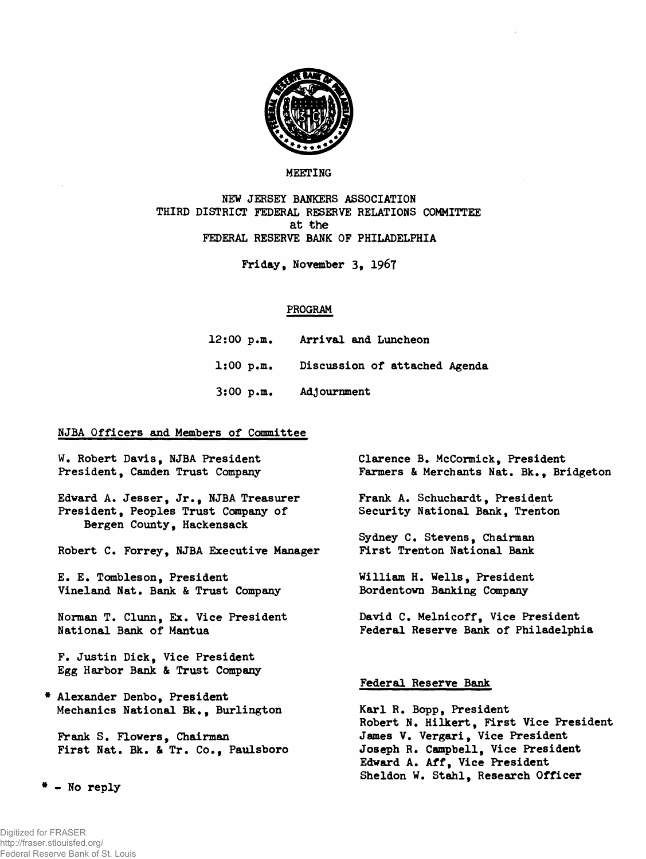

## **MEETING**

**NEW JERSEY BANKERS ASSOCIATION THIRD DISTRICT FEDERAL RESERVE RELATIONS COMMITTEE at the FEDERAL RESERVE BANK OF PHILADELPHIA**

**Friday, November 3, 1967**

## **PROGRAM**

| 12:00 p.m.  | Arrival and Luncheon                    |
|-------------|-----------------------------------------|
|             | 1:00 p.m. Discussion of attached Agenda |
| $3:00$ p.m. | <b>Adjournment</b>                      |

## **NJBA Officers and Members of Committee**

**W. Robert Davis, NJBA President President, Camden Trust Company Edvard A. Jesser, Jr., NJBA Treasurer President, Peoples Trust Company of Bergen County, Hackensack Robert C. Forrey, NJBA Executive Manager E. E. Tombleson, President Vineland Nat. Bank & Trust Company Norman T. Clunn, Ex. Vice President National Bank of Mantua F. Justin Dick, Vice President Egg Harbor Bank & Trust Company Alexander Denbo, President Mechanics National Bk., Burlington Frank S. Flowers, Chairman First Nat. Bk. & Tr. Co., Paulsboro Clarence B. McCormick, President** Farmers & Merchants Nat. Bk., Bridgeton **Frank A. Schuchardt, President Security National Bank, Trenton Sydney C. Stevens, Chairman First Trenton National Bank William H. Wells, President Bordentovn Banking Company David C. Melnicoff, Vice President Federal Reserve Bank of Philadelphia Federal Reserve Bank Karl R. Bopp, President Robert N. Hilkert, First Vice President James V. Vergari, Vice President Joseph R. Campbell, Vice President**

> **Edward A. Aff, Vice President Sheldon W. Stahl, Research Officer**

**- No reply**

Digitized for FRASER

http://fraser.stlouisfed.org/ Federal Reserve Bank of St. Louis